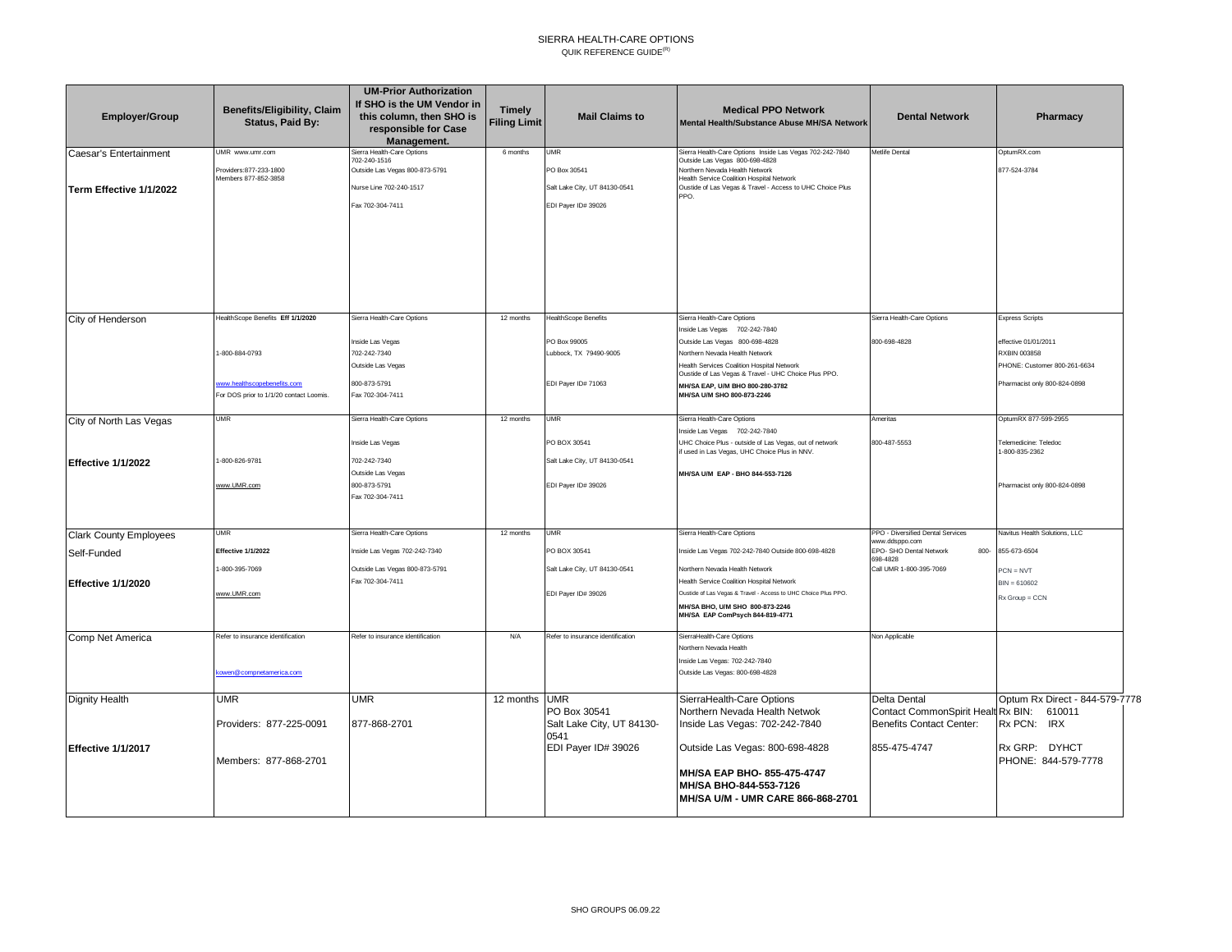## SIERRA HEALTH-CARE OPTIONS QUIK REFERENCE GUIDE $^{(R)}$

| <b>Employer/Group</b>                             | <b>Benefits/Eligibility, Claim</b><br>Status, Paid By:                 | <b>UM-Prior Authorization</b><br>If SHO is the UM Vendor in<br>this column, then SHO is<br>responsible for Case<br>Management. | <b>Timely</b><br><b>Filing Limit</b> | <b>Mail Claims to</b>                                                              | <b>Medical PPO Network</b><br>Mental Health/Substance Abuse MH/SA Network                                                                                                                                                                      | <b>Dental Network</b>                                                        | Pharmacy                                      |
|---------------------------------------------------|------------------------------------------------------------------------|--------------------------------------------------------------------------------------------------------------------------------|--------------------------------------|------------------------------------------------------------------------------------|------------------------------------------------------------------------------------------------------------------------------------------------------------------------------------------------------------------------------------------------|------------------------------------------------------------------------------|-----------------------------------------------|
| Caesar's Entertainment<br>Term Effective 1/1/2022 | UMR www.umr.com<br>Providers: 877-233-1800<br>Members 877-852-3858     | Sierra Health-Care Options<br>702-240-1516<br>Outside Las Vegas 800-873-5791<br>Nurse Line 702-240-1517<br>Fax 702-304-7411    | 6 months                             | <b>JMR</b><br>PO Box 30541<br>Salt Lake City, UT 84130-0541<br>EDI Payer ID# 39026 | Sierra Health-Care Options Inside Las Vegas 702-242-7840<br>Outside Las Vegas 800-698-4828<br>Northern Nevada Health Network<br>Health Service Coalition Hospital Network<br>Oustide of Las Vegas & Travel - Access to UHC Choice Plus<br>PPO. | Metlife Dental                                                               | OptumRX.com<br>877-524-3784                   |
|                                                   |                                                                        |                                                                                                                                |                                      |                                                                                    |                                                                                                                                                                                                                                                |                                                                              |                                               |
| City of Henderson                                 | lealthScope Benefits Eff 1/1/2020                                      | Sierra Health-Care Options                                                                                                     | 12 months                            | <b>HealthScope Benefits</b>                                                        | Sierra Health-Care Options<br>Inside Las Vegas 702-242-7840                                                                                                                                                                                    | Sierra Health-Care Options                                                   | <b>Express Scripts</b>                        |
|                                                   | -800-884-0793                                                          | Inside Las Vegas<br>702-242-7340                                                                                               |                                      | PO Box 99005<br>Lubbock, TX 79490-9005                                             | Outside Las Vegas 800-698-4828<br>Northern Nevada Health Network                                                                                                                                                                               | 800-698-4828                                                                 | effective 01/01/2011<br>RXBIN 003858          |
|                                                   |                                                                        | Outside Las Vegas                                                                                                              |                                      |                                                                                    | Health Services Coalition Hospital Network<br>Oustide of Las Vegas & Travel - UHC Choice Plus PPO.                                                                                                                                             |                                                                              | PHONE: Customer 800-261-6634                  |
|                                                   | www.healthscopebenefits.com<br>For DOS prior to 1/1/20 contact Loomis. | 800-873-5791<br>Fax 702-304-7411                                                                                               |                                      | EDI Payer ID# 71063                                                                | MH/SA EAP, U/M BHO 800-280-3782<br>MH/SA U/M SHO 800-873-2246                                                                                                                                                                                  |                                                                              | Pharmacist only 800-824-0898                  |
| City of North Las Vegas                           | <b>UMR</b>                                                             | Sierra Health-Care Options                                                                                                     | 12 months                            | <b>JMR</b>                                                                         | Sierra Health-Care Options                                                                                                                                                                                                                     | Ameritas                                                                     | OptumRX 877-599-2955                          |
|                                                   |                                                                        | Inside Las Vegas                                                                                                               |                                      | PO BOX 30541                                                                       | Inside Las Vegas 702-242-7840<br>UHC Choice Plus - outside of Las Vegas, out of network<br>if used in Las Vegas, UHC Choice Plus in NNV.                                                                                                       | 800-487-5553                                                                 | <b>Telemedicine: Teledoc</b><br>-800-835-2362 |
| Effective 1/1/2022                                | -800-826-9781                                                          | 702-242-7340<br>Outside Las Vegas                                                                                              |                                      | Salt Lake City, UT 84130-0541                                                      | MH/SA U/M EAP - BHO 844-553-7126                                                                                                                                                                                                               |                                                                              |                                               |
|                                                   | www.UMR.com                                                            | 800-873-5791<br>Fax 702-304-7411                                                                                               |                                      | EDI Payer ID# 39026                                                                |                                                                                                                                                                                                                                                |                                                                              | Pharmacist only 800-824-0898                  |
| <b>Clark County Employees</b>                     | <b>UMR</b>                                                             | Sierra Health-Care Options                                                                                                     | 12 months                            | <b>JMR</b>                                                                         | Sierra Health-Care Options                                                                                                                                                                                                                     | PPO - Diversified Dental Services<br>www.ddsppo.com                          | Navitus Health Solutions, LLC                 |
| Self-Funded                                       | <b>Effective 1/1/2022</b>                                              | Inside Las Vegas 702-242-7340                                                                                                  |                                      | PO BOX 30541                                                                       | Inside Las Vegas 702-242-7840 Outside 800-698-4828                                                                                                                                                                                             | EPO- SHO Dental Network<br>800-<br>698-4828                                  | 855-673-6504                                  |
|                                                   | -800-395-7069                                                          | Outside Las Vegas 800-873-5791<br>Fax 702-304-7411                                                                             |                                      | Salt Lake City, UT 84130-0541                                                      | Northern Nevada Health Network                                                                                                                                                                                                                 | Call UMR 1-800-395-7069                                                      | $PCN = NVT$                                   |
| Effective 1/1/2020                                | www.UMR.com                                                            |                                                                                                                                |                                      | EDI Payer ID# 39026                                                                | Health Service Coalition Hospital Network<br>Oustide of Las Vegas & Travel - Access to UHC Choice Plus PPO.                                                                                                                                    |                                                                              | $BIN = 610602$<br>$Rx Group = CCN$            |
|                                                   |                                                                        |                                                                                                                                |                                      |                                                                                    | MH/SA BHO, U/M SHO 800-873-2246<br>MH/SA EAP ComPsych 844-819-4771                                                                                                                                                                             |                                                                              |                                               |
| Comp Net America                                  | Refer to insurance identification                                      | Refer to insurance identification                                                                                              | N/A                                  | Refer to insurance identification                                                  | SierraHealth-Care Options<br>Northern Nevada Health                                                                                                                                                                                            | Non Applicable                                                               |                                               |
|                                                   | owen@compnetamerica.com                                                |                                                                                                                                |                                      |                                                                                    | Inside Las Vegas: 702-242-7840<br>Outside Las Vegas: 800-698-4828                                                                                                                                                                              |                                                                              |                                               |
| <b>Dignity Health</b>                             | <b>UMR</b>                                                             | <b>UMR</b>                                                                                                                     | 12 months                            | <b>UMR</b>                                                                         | SierraHealth-Care Options                                                                                                                                                                                                                      | Delta Dental                                                                 | Optum Rx Direct - 844-579-7778                |
|                                                   | Providers: 877-225-0091                                                | 877-868-2701                                                                                                                   |                                      | PO Box 30541<br>Salt Lake City, UT 84130-<br>0541                                  | Northern Nevada Health Netwok<br>Inside Las Vegas: 702-242-7840                                                                                                                                                                                | Contact CommonSpirit Healt Rx BIN: 610011<br><b>Benefits Contact Center:</b> | Rx PCN: IRX                                   |
| Effective 1/1/2017                                | Members: 877-868-2701                                                  |                                                                                                                                |                                      | EDI Payer ID# 39026                                                                | Outside Las Vegas: 800-698-4828                                                                                                                                                                                                                | 855-475-4747                                                                 | Rx GRP: DYHCT<br>PHONE: 844-579-7778          |
|                                                   |                                                                        |                                                                                                                                |                                      |                                                                                    | MH/SA EAP BHO- 855-475-4747<br>MH/SA BHO-844-553-7126<br>MH/SA U/M - UMR CARE 866-868-2701                                                                                                                                                     |                                                                              |                                               |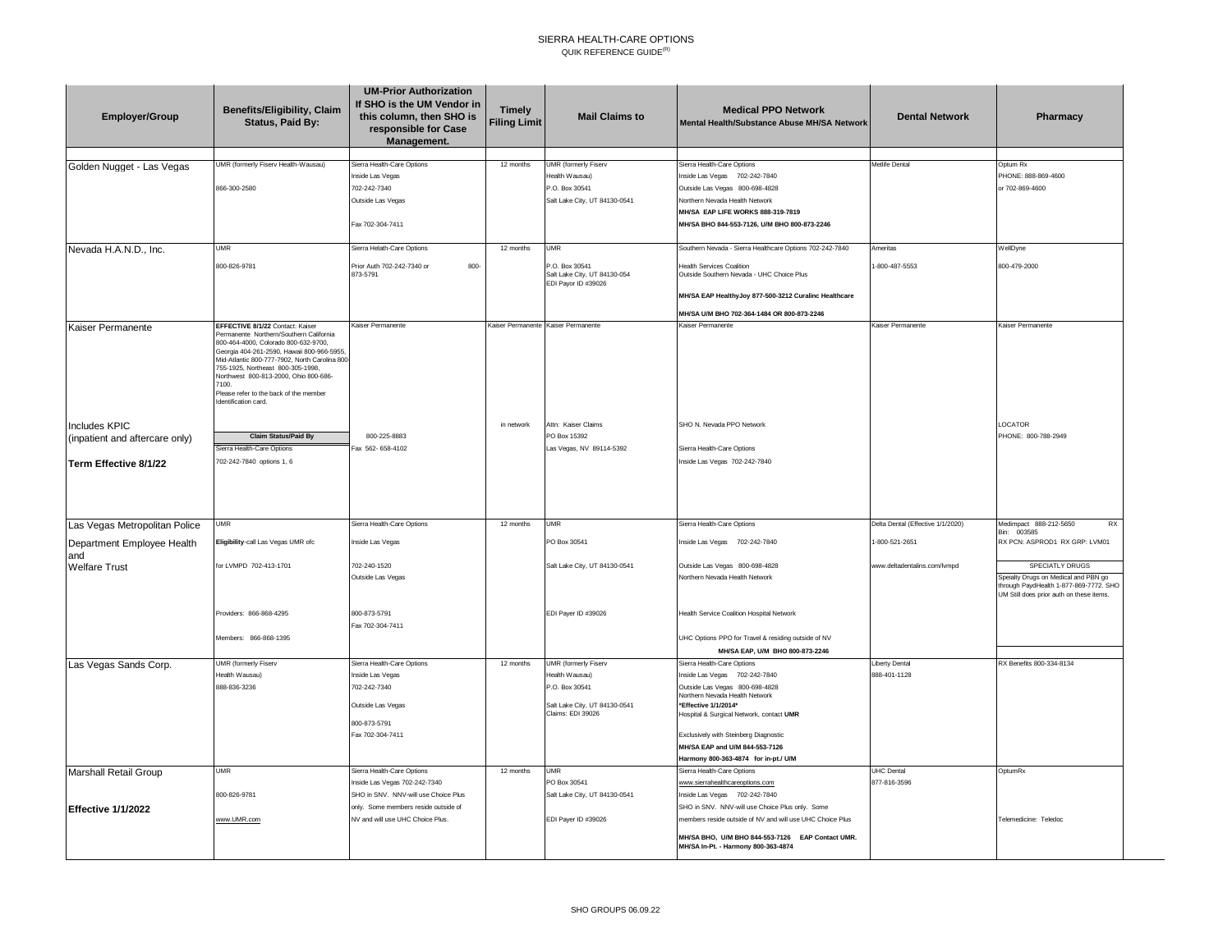## SIERRA HEALTH-CARE OPTIONS QUIK REFERENCE GUIDE $^{(R)}$

| <b>Employer/Group</b>             | Benefits/Eligibility, Claim<br>Status, Paid By:                                                                                                                                                                                                                                                                                                                             | <b>UM-Prior Authorization</b><br>If SHO is the UM Vendor in<br>this column, then SHO is<br>responsible for Case<br>Management. | <b>Timely</b><br><b>Filing Limit</b> | <b>Mail Claims to</b>                                                 | <b>Medical PPO Network</b><br>Mental Health/Substance Abuse MH/SA Network               | <b>Dental Network</b>             | Pharmacy                                                                                                                   |
|-----------------------------------|-----------------------------------------------------------------------------------------------------------------------------------------------------------------------------------------------------------------------------------------------------------------------------------------------------------------------------------------------------------------------------|--------------------------------------------------------------------------------------------------------------------------------|--------------------------------------|-----------------------------------------------------------------------|-----------------------------------------------------------------------------------------|-----------------------------------|----------------------------------------------------------------------------------------------------------------------------|
| Golden Nugget - Las Vegas         | UMR (formerly Fiserv Health-Wausau)                                                                                                                                                                                                                                                                                                                                         | Sierra Health-Care Options                                                                                                     | 12 months                            | <b>UMR</b> (formerly Fiserv                                           | Sierra Health-Care Options                                                              | Metlife Dental                    | Optum Rx                                                                                                                   |
|                                   | 866-300-2580                                                                                                                                                                                                                                                                                                                                                                | Inside Las Vegas<br>702-242-7340                                                                                               |                                      | lealth Wausau)<br>P.O. Box 30541                                      | Inside Las Vegas 702-242-7840<br>Outside Las Vegas 800-698-4828                         |                                   | PHONE: 888-869-4600<br>or 702-869-4600                                                                                     |
|                                   |                                                                                                                                                                                                                                                                                                                                                                             | Outside Las Vegas                                                                                                              |                                      | Salt Lake City, UT 84130-0541                                         | Northern Nevada Health Network                                                          |                                   |                                                                                                                            |
|                                   |                                                                                                                                                                                                                                                                                                                                                                             |                                                                                                                                |                                      |                                                                       | MH/SA EAP LIFE WORKS 888-319-7819                                                       |                                   |                                                                                                                            |
|                                   |                                                                                                                                                                                                                                                                                                                                                                             | Fax 702-304-7411                                                                                                               |                                      |                                                                       | MH/SA BHO 844-553-7126, U/M BHO 800-873-2246                                            |                                   |                                                                                                                            |
| Nevada H.A.N.D., Inc.             | UMR                                                                                                                                                                                                                                                                                                                                                                         | Sierra Helath-Care Options                                                                                                     | 12 months                            | UMR                                                                   | Southern Nevada - Sierra Healthcare Options 702-242-7840                                | Ameritas                          | WellDyne                                                                                                                   |
|                                   | 800-826-9781                                                                                                                                                                                                                                                                                                                                                                | Prior Auth 702-242-7340 or<br>800-<br>873-5791                                                                                 |                                      | P.O. Box 30541<br>Salt Lake City, UT 84130-054<br>EDI Payor ID #39026 | <b>Health Services Coalition</b><br>Outside Southern Nevada - UHC Choice Plus           | 1-800-487-5553                    | 800-479-2000                                                                                                               |
|                                   |                                                                                                                                                                                                                                                                                                                                                                             |                                                                                                                                |                                      |                                                                       | MH/SA EAP HealthyJoy 877-500-3212 Curalinc Healthcare                                   |                                   |                                                                                                                            |
|                                   |                                                                                                                                                                                                                                                                                                                                                                             |                                                                                                                                |                                      |                                                                       | MH/SA U/M BHO 702-364-1484 OR 800-873-2246                                              |                                   |                                                                                                                            |
| Kaiser Permanente                 | EFFECTIVE 8/1/22 Contact: Kaiser<br>Permanente Northern/Southern California<br>800-464-4000, Colorado 800-632-9700,<br>Georgia 404-261-2590, Hawaii 800-966-5955.<br>Mid-Atlantic 800-777-7902, North Carolina 800<br>755-1925. Northeast 800-305-1998.<br>Northwest 800-813-2000, Ohio 800-686-<br>7100.<br>Please refer to the back of the member<br>Identification card. | <b>Kaiser Permanente</b>                                                                                                       |                                      | Kaiser Permanente Kaiser Permanente                                   | Kaiser Permanente                                                                       | Kaiser Permanente                 | Kaiser Permanente                                                                                                          |
| Includes KPIC                     |                                                                                                                                                                                                                                                                                                                                                                             |                                                                                                                                | in network                           | Attn: Kaiser Claims                                                   | SHO N. Nevada PPO Network                                                               |                                   | LOCATOR                                                                                                                    |
| (inpatient and aftercare only)    | <b>Claim Status/Paid By</b>                                                                                                                                                                                                                                                                                                                                                 | 800-225-8883                                                                                                                   |                                      | PO Box 15392                                                          |                                                                                         |                                   | PHONE: 800-788-2949                                                                                                        |
|                                   | ierra Health-Care Options<br>702-242-7840 options 1, 6                                                                                                                                                                                                                                                                                                                      | Fax 562-658-4102                                                                                                               |                                      | Las Vegas, NV 89114-5392                                              | Sierra Health-Care Options<br>Inside Las Vegas 702-242-7840                             |                                   |                                                                                                                            |
| Term Effective 8/1/22             |                                                                                                                                                                                                                                                                                                                                                                             |                                                                                                                                |                                      |                                                                       |                                                                                         |                                   |                                                                                                                            |
| Las Vegas Metropolitan Police     | <b>UMR</b>                                                                                                                                                                                                                                                                                                                                                                  | Sierra Health-Care Options                                                                                                     | 12 months                            | <b>UMR</b>                                                            | Sierra Health-Care Options                                                              | Delta Dental (Effective 1/1/2020) | Medimpact 888-212-5650<br>RX<br>Bin: 003585                                                                                |
| Department Employee Health<br>and | Eligibility-call Las Vegas UMR ofc                                                                                                                                                                                                                                                                                                                                          | Inside Las Vegas                                                                                                               |                                      | PO Box 30541                                                          | Inside Las Vegas 702-242-7840                                                           | 1-800-521-2651                    | RX PCN: ASPROD1 RX GRP: LVM01                                                                                              |
| <b>Welfare Trust</b>              | for LVMPD 702-413-1701                                                                                                                                                                                                                                                                                                                                                      | 702-240-1520                                                                                                                   |                                      | Salt Lake City, UT 84130-0541                                         | Outside Las Vegas 800-698-4828                                                          | www.deltadentalins.com/lvmpd      | SPECIATLY DRUGS                                                                                                            |
|                                   |                                                                                                                                                                                                                                                                                                                                                                             | Outside Las Vegas                                                                                                              |                                      |                                                                       | <b>Northern Nevada Health Network</b>                                                   |                                   | Speialty Drugs on Medical and PBN go<br>through PaydHealth 1-877-869-7772. SHO<br>UM Still does prior auth on these items. |
|                                   | Providers: 866-868-4295                                                                                                                                                                                                                                                                                                                                                     | 800-873-5791<br>Fax 702-304-7411                                                                                               |                                      | EDI Payer ID #39026                                                   | lealth Service Coalition Hospital Network                                               |                                   |                                                                                                                            |
|                                   | Members: 866-868-1395                                                                                                                                                                                                                                                                                                                                                       |                                                                                                                                |                                      |                                                                       | UHC Options PPO for Travel & residing outside of NV                                     |                                   |                                                                                                                            |
|                                   |                                                                                                                                                                                                                                                                                                                                                                             |                                                                                                                                |                                      |                                                                       | MH/SA EAP, U/M BHO 800-873-2246                                                         |                                   |                                                                                                                            |
| Las Vegas Sands Corp.             | <b>UMR</b> (formerly Fiserv                                                                                                                                                                                                                                                                                                                                                 | Sierra Health-Care Options                                                                                                     | 12 months                            | UMR (formerly Fiserv                                                  | Sierra Health-Care Options                                                              | iberty Dental                     | RX Benefits 800-334-8134                                                                                                   |
|                                   | lealth Wausau)<br>888-836-3236                                                                                                                                                                                                                                                                                                                                              | Inside Las Vegas<br>702-242-7340                                                                                               |                                      | lealth Wausau)<br>P.O. Box 30541                                      | Inside Las Vegas 702-242-7840<br>Outside Las Vegas 800-698-4828                         | 888-401-1128                      |                                                                                                                            |
|                                   |                                                                                                                                                                                                                                                                                                                                                                             |                                                                                                                                |                                      |                                                                       | Northern Nevada Health Network                                                          |                                   |                                                                                                                            |
|                                   |                                                                                                                                                                                                                                                                                                                                                                             | Outside Las Vegas                                                                                                              |                                      | Salt Lake City, UT 84130-0541<br>Claims: EDI 39026                    | *Effective 1/1/2014*<br>Hospital & Surgical Network, contact UMR                        |                                   |                                                                                                                            |
|                                   |                                                                                                                                                                                                                                                                                                                                                                             | 800-873-5791                                                                                                                   |                                      |                                                                       |                                                                                         |                                   |                                                                                                                            |
|                                   |                                                                                                                                                                                                                                                                                                                                                                             | Fax 702-304-7411                                                                                                               |                                      |                                                                       | Exclusively with Steinberg Diagnostic<br>MH/SA EAP and U/M 844-553-7126                 |                                   |                                                                                                                            |
|                                   |                                                                                                                                                                                                                                                                                                                                                                             |                                                                                                                                |                                      |                                                                       | Harmony 800-363-4874 for in-pt./ U/M                                                    |                                   |                                                                                                                            |
| Marshall Retail Group             | <b>UMR</b>                                                                                                                                                                                                                                                                                                                                                                  | Sierra Health-Care Options                                                                                                     | 12 months                            | <b>UMR</b>                                                            | Sierra Health-Care Options                                                              | <b>UHC Dental</b>                 | OptumRx                                                                                                                    |
|                                   |                                                                                                                                                                                                                                                                                                                                                                             | Inside Las Vegas 702-242-7340                                                                                                  |                                      | PO Box 30541                                                          | www.sierrahealthcareoptions.com                                                         | 877-816-3596                      |                                                                                                                            |
|                                   | 800-826-9781                                                                                                                                                                                                                                                                                                                                                                | SHO in SNV. NNV-will use Choice Plus<br>only. Some members reside outside of                                                   |                                      | Salt Lake City, UT 84130-0541                                         | Inside Las Vegas 702-242-7840<br>SHO in SNV. NNV-will use Choice Plus only. Some        |                                   |                                                                                                                            |
| Effective 1/1/2022                | www.UMR.com                                                                                                                                                                                                                                                                                                                                                                 | NV and will use UHC Choice Plus.                                                                                               |                                      | EDI Payer ID #39026                                                   | nembers reside outside of NV and will use UHC Choice Plus                               |                                   | Telemedicine: Teledoc                                                                                                      |
|                                   |                                                                                                                                                                                                                                                                                                                                                                             |                                                                                                                                |                                      |                                                                       |                                                                                         |                                   |                                                                                                                            |
|                                   |                                                                                                                                                                                                                                                                                                                                                                             |                                                                                                                                |                                      |                                                                       | MH/SA BHO, U/M BHO 844-553-7126 EAP Contact UMR.<br>MH/SA In-Pt. - Harmony 800-363-4874 |                                   |                                                                                                                            |